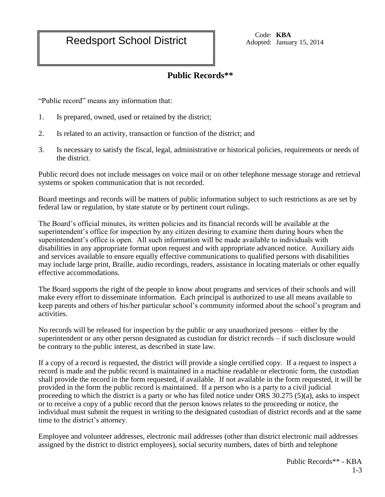Reedsport School District Code: KBA<br>
Reedsport School District Adopted: Januar

Adopted: January 15, 2014

## **Public Records\*\***

"Public record" means any information that:

- 1. Is prepared, owned, used or retained by the district;
- 2. Is related to an activity, transaction or function of the district; and
- 3. Is necessary to satisfy the fiscal, legal, administrative or historical policies, requirements or needs of the district.

Public record does not include messages on voice mail or on other telephone message storage and retrieval systems or spoken communication that is not recorded.

Board meetings and records will be matters of public information subject to such restrictions as are set by federal law or regulation, by state statute or by pertinent court rulings.

The Board's official minutes, its written policies and its financial records will be available at the superintendent's office for inspection by any citizen desiring to examine them during hours when the superintendent's office is open. All such information will be made available to individuals with disabilities in any appropriate format upon request and with appropriate advanced notice. Auxiliary aids and services available to ensure equally effective communications to qualified persons with disabilities may include large print, Braille, audio recordings, readers, assistance in locating materials or other equally effective accommodations.

The Board supports the right of the people to know about programs and services of their schools and will make every effort to disseminate information. Each principal is authorized to use all means available to keep parents and others of his/her particular school's community informed about the school's program and activities.

No records will be released for inspection by the public or any unauthorized persons – either by the superintendent or any other person designated as custodian for district records – if such disclosure would be contrary to the public interest, as described in state law.

If a copy of a record is requested, the district will provide a single certified copy. If a request to inspect a record is made and the public record is maintained in a machine readable or electronic form, the custodian shall provide the record in the form requested, if available. If not available in the form requested, it will be provided in the form the public record is maintained. If a person who is a party to a civil judicial proceeding to which the district is a party or who has filed notice under ORS 30.275 (5)(a), asks to inspect or to receive a copy of a public record that the person knows relates to the proceeding or notice, the individual must submit the request in writing to the designated custodian of district records and at the same time to the district's attorney.

Employee and volunteer addresses, electronic mail addresses (other than district electronic mail addresses assigned by the district to district employees), social security numbers, dates of birth and telephone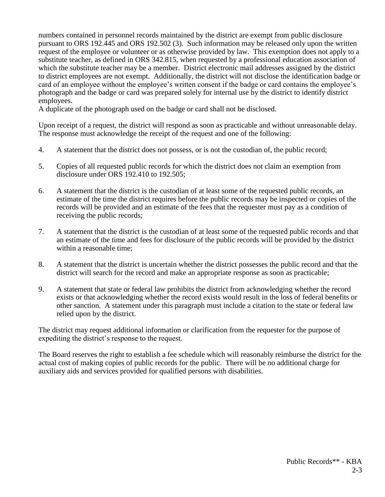numbers contained in personnel records maintained by the district are exempt from public disclosure pursuant to ORS 192.445 and ORS 192.502 (3). Such information may be released only upon the written request of the employee or volunteer or as otherwise provided by law. This exemption does not apply to a substitute teacher, as defined in ORS 342.815, when requested by a professional education association of which the substitute teacher may be a member. District electronic mail addresses assigned by the district to district employees are not exempt. Additionally, the district will not disclose the identification badge or card of an employee without the employee's written consent if the badge or card contains the employee's photograph and the badge or card was prepared solely for internal use by the district to identify district employees.

A duplicate of the photograph used on the badge or card shall not be disclosed.

Upon receipt of a request, the district will respond as soon as practicable and without unreasonable delay. The response must acknowledge the receipt of the request and one of the following:

- 4. A statement that the district does not possess, or is not the custodian of, the public record;
- 5. Copies of all requested public records for which the district does not claim an exemption from disclosure under ORS 192.410 to 192.505;
- 6. A statement that the district is the custodian of at least some of the requested public records, an estimate of the time the district requires before the public records may be inspected or copies of the records will be provided and an estimate of the fees that the requester must pay as a condition of receiving the public records;
- 7. A statement that the district is the custodian of at least some of the requested public records and that an estimate of the time and fees for disclosure of the public records will be provided by the district within a reasonable time;
- 8. A statement that the district is uncertain whether the district possesses the public record and that the district will search for the record and make an appropriate response as soon as practicable;
- 9. A statement that state or federal law prohibits the district from acknowledging whether the record exists or that acknowledging whether the record exists would result in the loss of federal benefits or other sanction. A statement under this paragraph must include a citation to the state or federal law relied upon by the district.

The district may request additional information or clarification from the requester for the purpose of expediting the district's response to the request.

The Board reserves the right to establish a fee schedule which will reasonably reimburse the district for the actual cost of making copies of public records for the public. There will be no additional charge for auxiliary aids and services provided for qualified persons with disabilities.